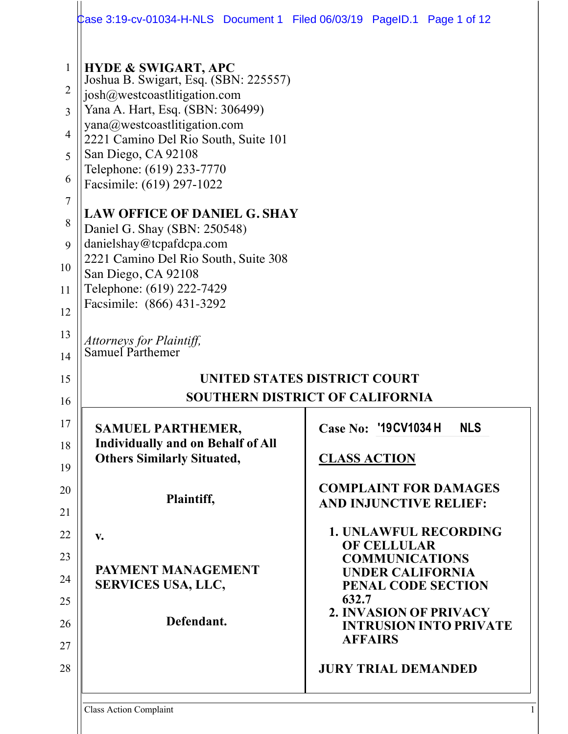|                                                                                       | Case 3:19-cv-01034-H-NLS Document 1 Filed 06/03/19 PageID.1 Page 1 of 12                                                                                                                                                                                                                                                                                                                                                                                                                                                         |                                                                           |
|---------------------------------------------------------------------------------------|----------------------------------------------------------------------------------------------------------------------------------------------------------------------------------------------------------------------------------------------------------------------------------------------------------------------------------------------------------------------------------------------------------------------------------------------------------------------------------------------------------------------------------|---------------------------------------------------------------------------|
| 1<br>$\overline{2}$<br>3<br>$\overline{4}$<br>5<br>6<br>7<br>8<br>9<br>10<br>11<br>12 | <b>HYDE &amp; SWIGART, APC</b><br>Joshua B. Swigart, Esq. (SBN: 225557)<br>josh@westcoastlitigation.com<br>Yana A. Hart, Esq. (SBN: 306499)<br>yana@westcoastlitigation.com<br>2221 Camino Del Rio South, Suite 101<br>San Diego, CA 92108<br>Telephone: (619) 233-7770<br>Facsimile: (619) 297-1022<br><b>LAW OFFICE OF DANIEL G. SHAY</b><br>Daniel G. Shay (SBN: 250548)<br>danielshay@tcpafdcpa.com<br>2221 Camino Del Rio South, Suite 308<br>San Diego, CA 92108<br>Telephone: (619) 222-7429<br>Facsimile: (866) 431-3292 |                                                                           |
| 13<br>14                                                                              | Attorneys for Plaintiff,<br>Samuel Parthemer                                                                                                                                                                                                                                                                                                                                                                                                                                                                                     |                                                                           |
| 15                                                                                    |                                                                                                                                                                                                                                                                                                                                                                                                                                                                                                                                  | UNITED STATES DISTRICT COURT                                              |
| 16                                                                                    |                                                                                                                                                                                                                                                                                                                                                                                                                                                                                                                                  | <b>SOUTHERN DISTRICT OF CALIFORNIA</b>                                    |
| 17                                                                                    | <b>SAMUEL PARTHEMER,</b>                                                                                                                                                                                                                                                                                                                                                                                                                                                                                                         | Case No: '19 CV 1034 H<br><b>NLS</b>                                      |
| 18                                                                                    | <b>Individually and on Behalf of All</b><br><b>Others Similarly Situated,</b>                                                                                                                                                                                                                                                                                                                                                                                                                                                    | <b>CLASS ACTION</b>                                                       |
| 19                                                                                    |                                                                                                                                                                                                                                                                                                                                                                                                                                                                                                                                  |                                                                           |
| 20                                                                                    | Plaintiff,                                                                                                                                                                                                                                                                                                                                                                                                                                                                                                                       | <b>COMPLAINT FOR DAMAGES</b><br><b>AND INJUNCTIVE RELIEF:</b>             |
| 21<br>22                                                                              |                                                                                                                                                                                                                                                                                                                                                                                                                                                                                                                                  | <b>1. UNLAWFUL RECORDING</b>                                              |
| 23                                                                                    | $V_{\bullet}$                                                                                                                                                                                                                                                                                                                                                                                                                                                                                                                    | <b>OF CELLULAR</b>                                                        |
| 24                                                                                    | PAYMENT MANAGEMENT                                                                                                                                                                                                                                                                                                                                                                                                                                                                                                               | <b>COMMUNICATIONS</b><br><b>UNDER CALIFORNIA</b>                          |
| 25                                                                                    | <b>SERVICES USA, LLC,</b>                                                                                                                                                                                                                                                                                                                                                                                                                                                                                                        | PENAL CODE SECTION<br>632.7                                               |
| 26                                                                                    | Defendant.                                                                                                                                                                                                                                                                                                                                                                                                                                                                                                                       | 2. INVASION OF PRIVACY<br><b>INTRUSION INTO PRIVATE</b><br><b>AFFAIRS</b> |
| 27<br>28                                                                              |                                                                                                                                                                                                                                                                                                                                                                                                                                                                                                                                  | <b>JURY TRIAL DEMANDED</b>                                                |
|                                                                                       |                                                                                                                                                                                                                                                                                                                                                                                                                                                                                                                                  |                                                                           |

Class Action Complaint 1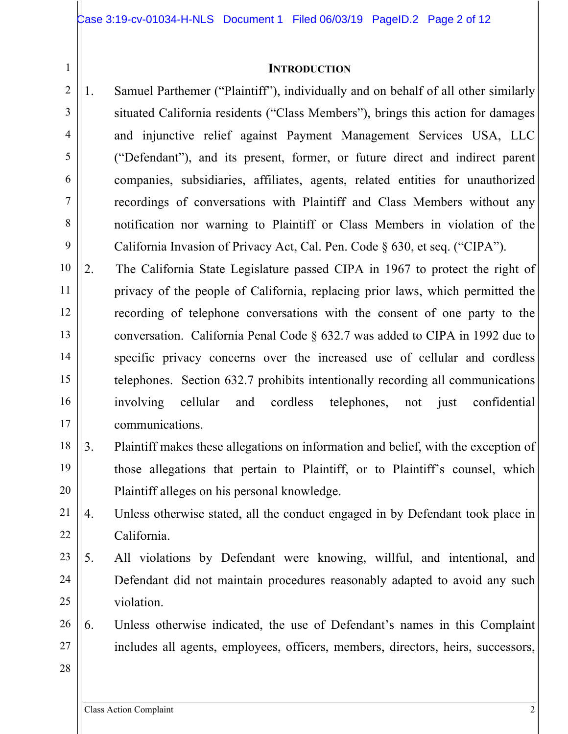### **INTRODUCTION**

- 2 5 8 1. Samuel Parthemer ("Plaintiff"), individually and on behalf of all other similarly situated California residents ("Class Members"), brings this action for damages and injunctive relief against Payment Management Services USA, LLC ("Defendant"), and its present, former, or future direct and indirect parent companies, subsidiaries, affiliates, agents, related entities for unauthorized recordings of conversations with Plaintiff and Class Members without any notification nor warning to Plaintiff or Class Members in violation of the California Invasion of Privacy Act, Cal. Pen. Code § 630, et seq. ("CIPA").
- 10 11 12 13 14 15 16 17 2. The California State Legislature passed CIPA in 1967 to protect the right of privacy of the people of California, replacing prior laws, which permitted the recording of telephone conversations with the consent of one party to the conversation. California Penal Code § 632.7 was added to CIPA in 1992 due to specific privacy concerns over the increased use of cellular and cordless telephones. Section 632.7 prohibits intentionally recording all communications involving cellular and cordless telephones, not just confidential communications.
- 18 19 20 3. Plaintiff makes these allegations on information and belief, with the exception of those allegations that pertain to Plaintiff, or to Plaintiff's counsel, which Plaintiff alleges on his personal knowledge.
- 21 22 4. Unless otherwise stated, all the conduct engaged in by Defendant took place in California.
- 23 24 25 5. All violations by Defendant were knowing, willful, and intentional, and Defendant did not maintain procedures reasonably adapted to avoid any such violation.
- 26 27 6. Unless otherwise indicated, the use of Defendant's names in this Complaint includes all agents, employees, officers, members, directors, heirs, successors,
- 28

1

3

4

6

7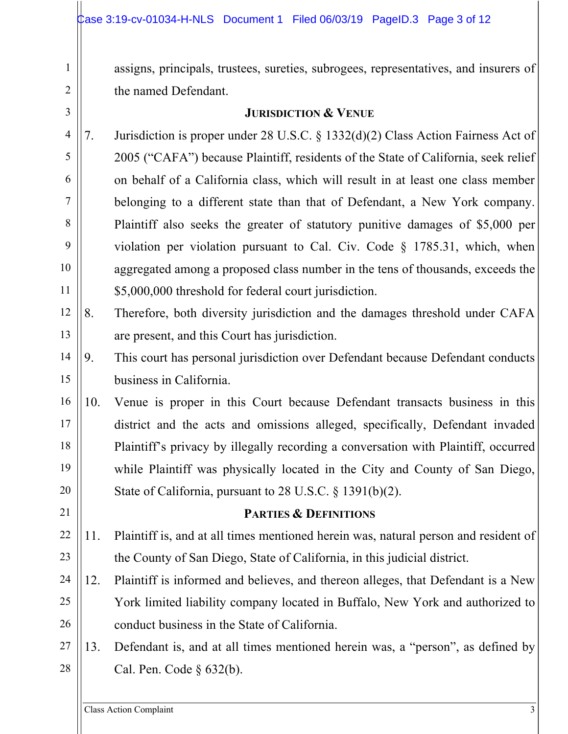assigns, principals, trustees, sureties, subrogees, representatives, and insurers of the named Defendant.

1

2

3

21

# **JURISDICTION & VENUE**

- 4 5 6 7 8 9 10 11 7. Jurisdiction is proper under 28 U.S.C. § 1332(d)(2) Class Action Fairness Act of 2005 ("CAFA") because Plaintiff, residents of the State of California, seek relief on behalf of a California class, which will result in at least one class member belonging to a different state than that of Defendant, a New York company. Plaintiff also seeks the greater of statutory punitive damages of \$5,000 per violation per violation pursuant to Cal. Civ. Code § 1785.31, which, when aggregated among a proposed class number in the tens of thousands, exceeds the \$5,000,000 threshold for federal court jurisdiction.
- 12 13 8. Therefore, both diversity jurisdiction and the damages threshold under CAFA are present, and this Court has jurisdiction.
- 14 15 9. This court has personal jurisdiction over Defendant because Defendant conducts business in California.
- 16 17 18 19 20 10. Venue is proper in this Court because Defendant transacts business in this district and the acts and omissions alleged, specifically, Defendant invaded Plaintiff's privacy by illegally recording a conversation with Plaintiff, occurred while Plaintiff was physically located in the City and County of San Diego, State of California, pursuant to 28 U.S.C. § 1391(b)(2).

## **PARTIES & DEFINITIONS**

- 22 23 11. Plaintiff is, and at all times mentioned herein was, natural person and resident of the County of San Diego, State of California, in this judicial district.
- 24 25 26 12. Plaintiff is informed and believes, and thereon alleges, that Defendant is a New York limited liability company located in Buffalo, New York and authorized to conduct business in the State of California.
- 27 28 13. Defendant is, and at all times mentioned herein was, a "person", as defined by Cal. Pen. Code § 632(b).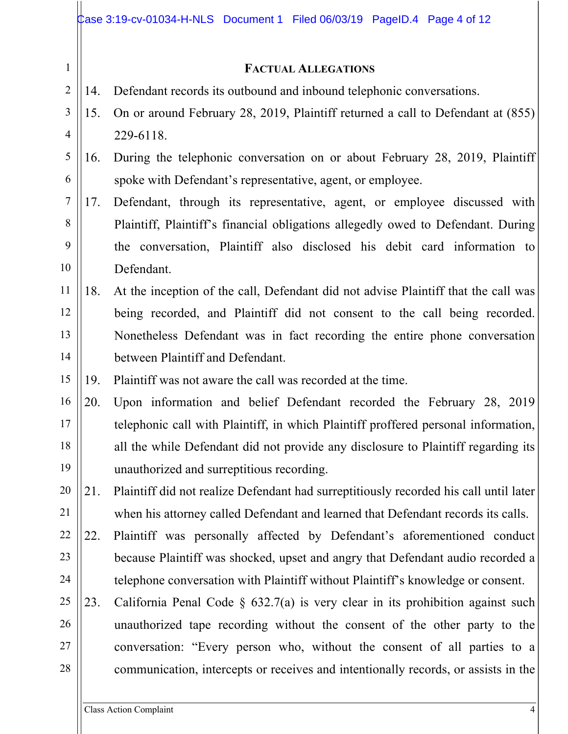#### **FACTUAL ALLEGATIONS**

- 14. Defendant records its outbound and inbound telephonic conversations.
- 3 4 15. On or around February 28, 2019, Plaintiff returned a call to Defendant at (855) 229-6118.
- 5 6 16. During the telephonic conversation on or about February 28, 2019, Plaintiff spoke with Defendant's representative, agent, or employee.
- 7 8 9 10 17. Defendant, through its representative, agent, or employee discussed with Plaintiff, Plaintiff's financial obligations allegedly owed to Defendant. During the conversation, Plaintiff also disclosed his debit card information to Defendant.
- 11 12 13 14 18. At the inception of the call, Defendant did not advise Plaintiff that the call was being recorded, and Plaintiff did not consent to the call being recorded. Nonetheless Defendant was in fact recording the entire phone conversation between Plaintiff and Defendant.
- 15 19. Plaintiff was not aware the call was recorded at the time.
- 16 17 18 19 20. Upon information and belief Defendant recorded the February 28, 2019 telephonic call with Plaintiff, in which Plaintiff proffered personal information, all the while Defendant did not provide any disclosure to Plaintiff regarding its unauthorized and surreptitious recording.
- 20 21 21. Plaintiff did not realize Defendant had surreptitiously recorded his call until later when his attorney called Defendant and learned that Defendant records its calls.
- 22 23 24 22. Plaintiff was personally affected by Defendant's aforementioned conduct because Plaintiff was shocked, upset and angry that Defendant audio recorded a telephone conversation with Plaintiff without Plaintiff's knowledge or consent.
- 25 26 27 28 23. California Penal Code § 632.7(a) is very clear in its prohibition against such unauthorized tape recording without the consent of the other party to the conversation: "Every person who, without the consent of all parties to a communication, intercepts or receives and intentionally records, or assists in the

1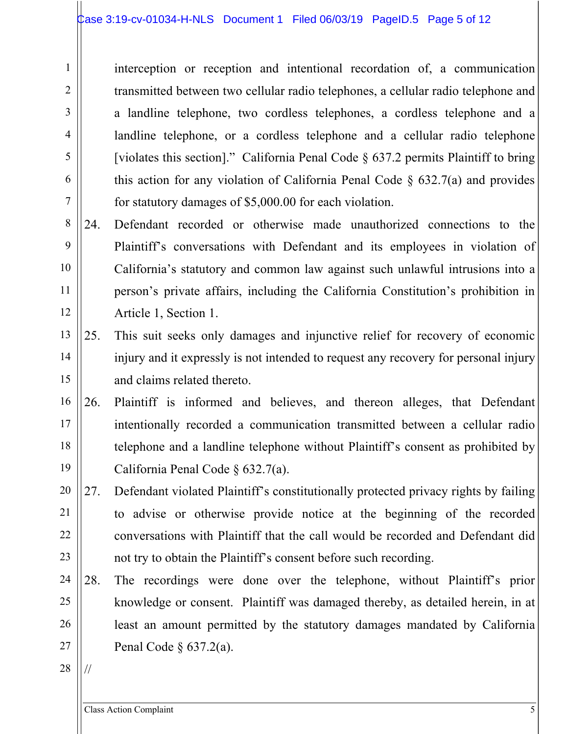interception or reception and intentional recordation of, a communication transmitted between two cellular radio telephones, a cellular radio telephone and a landline telephone, two cordless telephones, a cordless telephone and a landline telephone, or a cordless telephone and a cellular radio telephone [violates this section]." California Penal Code  $\S$  637.2 permits Plaintiff to bring this action for any violation of California Penal Code  $\S$  632.7(a) and provides for statutory damages of \$5,000.00 for each violation.

8 9 10 11 12 24. Defendant recorded or otherwise made unauthorized connections to the Plaintiff's conversations with Defendant and its employees in violation of California's statutory and common law against such unlawful intrusions into a person's private affairs, including the California Constitution's prohibition in Article 1, Section 1.

- 13 14 15 25. This suit seeks only damages and injunctive relief for recovery of economic injury and it expressly is not intended to request any recovery for personal injury and claims related thereto.
- 16 17 18 19 26. Plaintiff is informed and believes, and thereon alleges, that Defendant intentionally recorded a communication transmitted between a cellular radio telephone and a landline telephone without Plaintiff's consent as prohibited by California Penal Code § 632.7(a).
- 20 21 22 23 27. Defendant violated Plaintiff's constitutionally protected privacy rights by failing to advise or otherwise provide notice at the beginning of the recorded conversations with Plaintiff that the call would be recorded and Defendant did not try to obtain the Plaintiff's consent before such recording.
- 24 25 26 27 28. The recordings were done over the telephone, without Plaintiff's prior knowledge or consent. Plaintiff was damaged thereby, as detailed herein, in at least an amount permitted by the statutory damages mandated by California Penal Code § 637.2(a).
- 28

//

1

2

3

4

5

6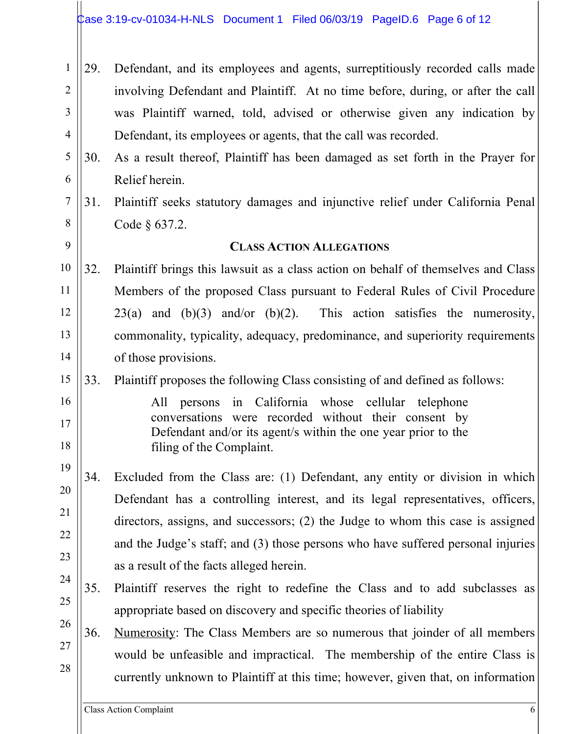- 1 2 3 4 29. Defendant, and its employees and agents, surreptitiously recorded calls made involving Defendant and Plaintiff. At no time before, during, or after the call was Plaintiff warned, told, advised or otherwise given any indication by Defendant, its employees or agents, that the call was recorded.
- 5 6 30. As a result thereof, Plaintiff has been damaged as set forth in the Prayer for Relief herein.
	- 31. Plaintiff seeks statutory damages and injunctive relief under California Penal Code § 637.2.

### **CLASS ACTION ALLEGATIONS**

- 10 11 12 13 14 32. Plaintiff brings this lawsuit as a class action on behalf of themselves and Class Members of the proposed Class pursuant to Federal Rules of Civil Procedure  $23(a)$  and  $(b)(3)$  and/or  $(b)(2)$ . This action satisfies the numerosity, commonality, typicality, adequacy, predominance, and superiority requirements of those provisions.
- 15 33. Plaintiff proposes the following Class consisting of and defined as follows:
- 16 17 18

7

8

9

All persons in California whose cellular telephone conversations were recorded without their consent by Defendant and/or its agent/s within the one year prior to the filing of the Complaint.

- 19 20 21 22 23 34. Excluded from the Class are: (1) Defendant, any entity or division in which Defendant has a controlling interest, and its legal representatives, officers, directors, assigns, and successors; (2) the Judge to whom this case is assigned and the Judge's staff; and (3) those persons who have suffered personal injuries as a result of the facts alleged herein.
- 24 25 35. Plaintiff reserves the right to redefine the Class and to add subclasses as appropriate based on discovery and specific theories of liability
- 26 27 28 36. Numerosity: The Class Members are so numerous that joinder of all members would be unfeasible and impractical. The membership of the entire Class is currently unknown to Plaintiff at this time; however, given that, on information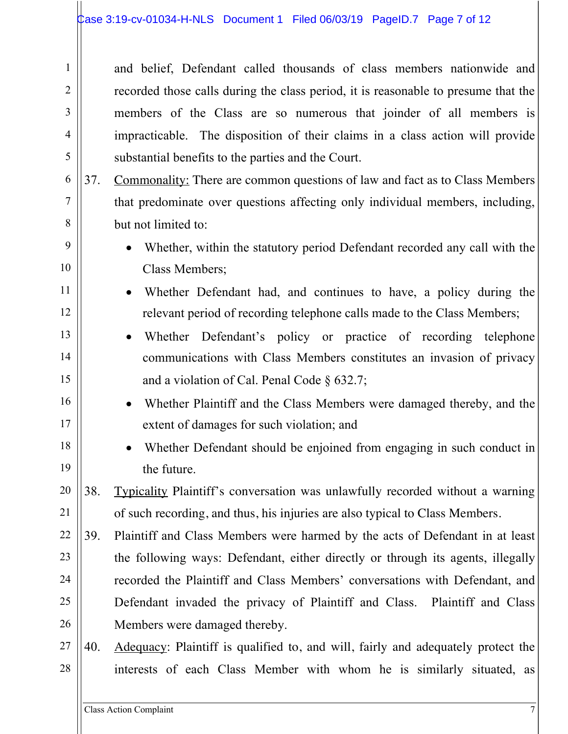and belief, Defendant called thousands of class members nationwide and recorded those calls during the class period, it is reasonable to presume that the members of the Class are so numerous that joinder of all members is impracticable. The disposition of their claims in a class action will provide substantial benefits to the parties and the Court.

- 37. Commonality: There are common questions of law and fact as to Class Members that predominate over questions affecting only individual members, including, but not limited to:
- 9 10

11

12

13

14

15

16

17

18

19

1

2

3

4

5

6

7

- Whether, within the statutory period Defendant recorded any call with the Class Members;
- Whether Defendant had, and continues to have, a policy during the relevant period of recording telephone calls made to the Class Members;
- Whether Defendant's policy or practice of recording telephone communications with Class Members constitutes an invasion of privacy and a violation of Cal. Penal Code § 632.7;
	- Whether Plaintiff and the Class Members were damaged thereby, and the extent of damages for such violation; and
	- Whether Defendant should be enjoined from engaging in such conduct in the future.
- 20 21 38. Typicality Plaintiff's conversation was unlawfully recorded without a warning of such recording, and thus, his injuries are also typical to Class Members.
- 22 23 24 25 26 39. Plaintiff and Class Members were harmed by the acts of Defendant in at least the following ways: Defendant, either directly or through its agents, illegally recorded the Plaintiff and Class Members' conversations with Defendant, and Defendant invaded the privacy of Plaintiff and Class. Plaintiff and Class Members were damaged thereby.
- 27 28 40. Adequacy: Plaintiff is qualified to, and will, fairly and adequately protect the interests of each Class Member with whom he is similarly situated, as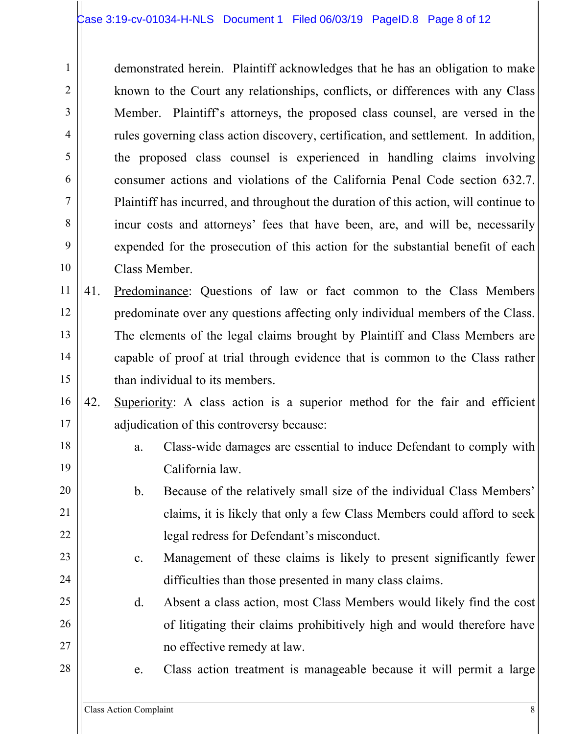demonstrated herein. Plaintiff acknowledges that he has an obligation to make known to the Court any relationships, conflicts, or differences with any Class Member. Plaintiff's attorneys, the proposed class counsel, are versed in the rules governing class action discovery, certification, and settlement. In addition, the proposed class counsel is experienced in handling claims involving consumer actions and violations of the California Penal Code section 632.7. Plaintiff has incurred, and throughout the duration of this action, will continue to incur costs and attorneys' fees that have been, are, and will be, necessarily expended for the prosecution of this action for the substantial benefit of each Class Member.

11 12 13 14 15 41. Predominance: Questions of law or fact common to the Class Members predominate over any questions affecting only individual members of the Class. The elements of the legal claims brought by Plaintiff and Class Members are capable of proof at trial through evidence that is common to the Class rather than individual to its members.

- 16 17 42. Superiority: A class action is a superior method for the fair and efficient adjudication of this controversy because:
	- a. Class-wide damages are essential to induce Defendant to comply with California law.
	- b. Because of the relatively small size of the individual Class Members' claims, it is likely that only a few Class Members could afford to seek legal redress for Defendant's misconduct.
	- c. Management of these claims is likely to present significantly fewer difficulties than those presented in many class claims.
	- d. Absent a class action, most Class Members would likely find the cost of litigating their claims prohibitively high and would therefore have no effective remedy at law.
		- e. Class action treatment is manageable because it will permit a large

1

2

3

4

5

6

7

8

9

10

18

19

20

21

22

23

24

25

26

27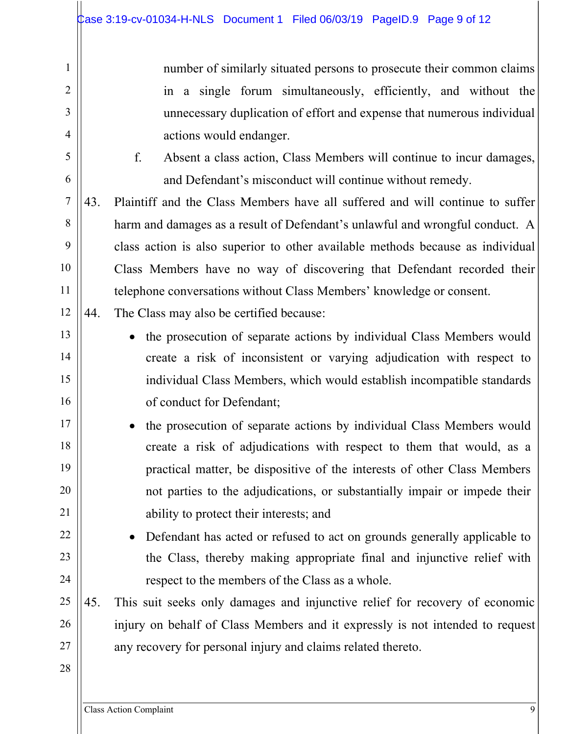number of similarly situated persons to prosecute their common claims in a single forum simultaneously, efficiently, and without the unnecessary duplication of effort and expense that numerous individual actions would endanger. f. Absent a class action, Class Members will continue to incur damages, and Defendant's misconduct will continue without remedy. 43. Plaintiff and the Class Members have all suffered and will continue to suffer harm and damages as a result of Defendant's unlawful and wrongful conduct. A class action is also superior to other available methods because as individual Class Members have no way of discovering that Defendant recorded their telephone conversations without Class Members' knowledge or consent.

12 44. The Class may also be certified because:

- the prosecution of separate actions by individual Class Members would create a risk of inconsistent or varying adjudication with respect to individual Class Members, which would establish incompatible standards of conduct for Defendant;
- the prosecution of separate actions by individual Class Members would create a risk of adjudications with respect to them that would, as a practical matter, be dispositive of the interests of other Class Members not parties to the adjudications, or substantially impair or impede their ability to protect their interests; and
- Defendant has acted or refused to act on grounds generally applicable to the Class, thereby making appropriate final and injunctive relief with respect to the members of the Class as a whole.
- 25 26 27 45. This suit seeks only damages and injunctive relief for recovery of economic injury on behalf of Class Members and it expressly is not intended to request any recovery for personal injury and claims related thereto.
- 28

1

2

3

4

5

6

7

8

9

10

11

13

14

15

16

17

18

19

20

21

22

23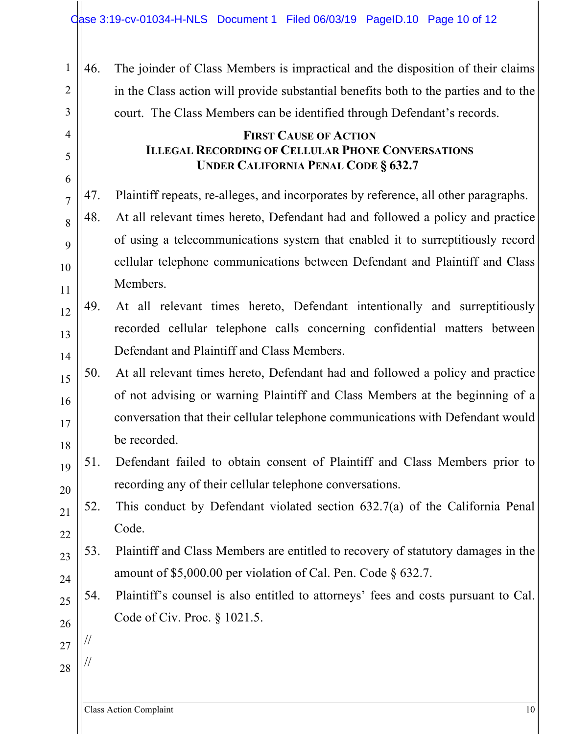46. The joinder of Class Members is impractical and the disposition of their claims in the Class action will provide substantial benefits both to the parties and to the court. The Class Members can be identified through Defendant's records.

# **FIRST CAUSE OF ACTION ILLEGAL RECORDING OF CELLULAR PHONE CONVERSATIONS UNDER CALIFORNIA PENAL CODE § 632.7**

47. Plaintiff repeats, re-alleges, and incorporates by reference, all other paragraphs.

- 48. At all relevant times hereto, Defendant had and followed a policy and practice of using a telecommunications system that enabled it to surreptitiously record cellular telephone communications between Defendant and Plaintiff and Class Members.
- 12 13 14 49. At all relevant times hereto, Defendant intentionally and surreptitiously recorded cellular telephone calls concerning confidential matters between Defendant and Plaintiff and Class Members.
- 15 16 17 18 50. At all relevant times hereto, Defendant had and followed a policy and practice of not advising or warning Plaintiff and Class Members at the beginning of a conversation that their cellular telephone communications with Defendant would be recorded.
- 19 20 51. Defendant failed to obtain consent of Plaintiff and Class Members prior to recording any of their cellular telephone conversations.
- 22 52. This conduct by Defendant violated section 632.7(a) of the California Penal Code.
	- 53. Plaintiff and Class Members are entitled to recovery of statutory damages in the amount of \$5,000.00 per violation of Cal. Pen. Code § 632.7.
		- 54. Plaintiff's counsel is also entitled to attorneys' fees and costs pursuant to Cal. Code of Civ. Proc. § 1021.5.
- 27 28

//

//

21

23

24

25

26

1

2

3

4

5

6

7

8

9

10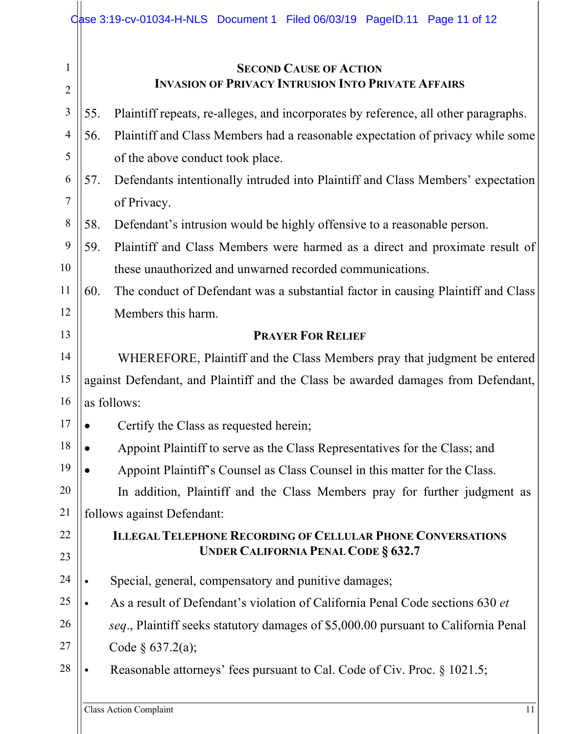|                     | Case 3:19-cv-01034-H-NLS Document 1 Filed 06/03/19 PageID.11 Page 11 of 12                 |  |
|---------------------|--------------------------------------------------------------------------------------------|--|
| 1<br>$\overline{2}$ | <b>SECOND CAUSE OF ACTION</b><br><b>INVASION OF PRIVACY INTRUSION INTO PRIVATE AFFAIRS</b> |  |
| 3                   | 55.<br>Plaintiff repeats, re-alleges, and incorporates by reference, all other paragraphs. |  |
| $\overline{4}$      | Plaintiff and Class Members had a reasonable expectation of privacy while some<br>56.      |  |
| 5                   | of the above conduct took place.                                                           |  |
| 6                   | Defendants intentionally intruded into Plaintiff and Class Members' expectation<br>57.     |  |
| 7                   | of Privacy.                                                                                |  |
| 8                   | 58.<br>Defendant's intrusion would be highly offensive to a reasonable person.             |  |
| 9                   | Plaintiff and Class Members were harmed as a direct and proximate result of<br>59.         |  |
| 10                  | these unauthorized and unwarned recorded communications.                                   |  |
| 11                  | 60.<br>The conduct of Defendant was a substantial factor in causing Plaintiff and Class    |  |
| 12                  | Members this harm.                                                                         |  |
| 13                  | <b>PRAYER FOR RELIEF</b>                                                                   |  |
| 14                  | WHEREFORE, Plaintiff and the Class Members pray that judgment be entered                   |  |
| 15                  | against Defendant, and Plaintiff and the Class be awarded damages from Defendant,          |  |
| 16                  | as follows:                                                                                |  |
| 17                  | Certify the Class as requested herein;                                                     |  |
| 18                  | Appoint Plaintiff to serve as the Class Representatives for the Class; and                 |  |
| 19                  | Appoint Plaintiff's Counsel as Class Counsel in this matter for the Class.                 |  |
| 20                  | In addition, Plaintiff and the Class Members pray for further judgment as                  |  |
| 21                  | follows against Defendant:                                                                 |  |
| 22                  | <b>ILLEGAL TELEPHONE RECORDING OF CELLULAR PHONE CONVERSATIONS</b>                         |  |
| 23                  | <b>UNDER CALIFORNIA PENAL CODE § 632.7</b>                                                 |  |
| 24                  | Special, general, compensatory and punitive damages;                                       |  |
| 25                  | As a result of Defendant's violation of California Penal Code sections 630 et              |  |
| 26                  | seq., Plaintiff seeks statutory damages of \$5,000.00 pursuant to California Penal         |  |
| 27                  | Code $§ 637.2(a);$                                                                         |  |
| 28                  | Reasonable attorneys' fees pursuant to Cal. Code of Civ. Proc. § 1021.5;                   |  |